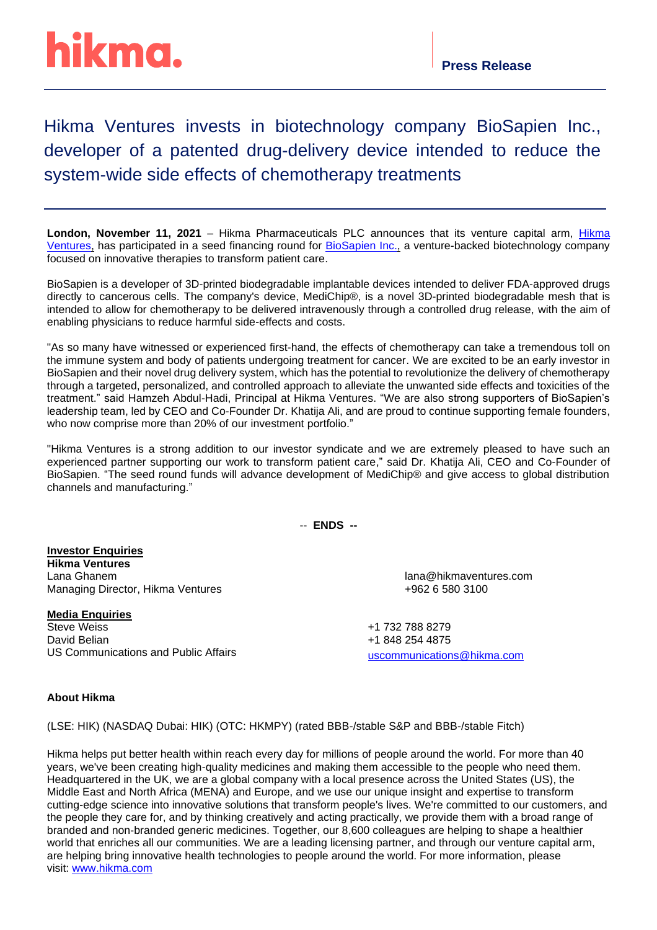## hikma.

Hikma Ventures invests in biotechnology company BioSapien Inc., developer of a patented drug-delivery device intended to reduce the system-wide side effects of chemotherapy treatments

**London, November 11, 2021** – Hikma Pharmaceuticals PLC announces that its venture capital arm, [Hikma](https://www.hikmaventures.com/home/)  [Ventures,](https://www.hikmaventures.com/home/) has participated in a seed financing round for [BioSapien](https://biosapien.com/) Inc., a venture-backed biotechnology company focused on innovative therapies to transform patient care.

BioSapien is a developer of 3D-printed biodegradable implantable devices intended to deliver FDA-approved drugs directly to cancerous cells. The company's device, MediChip®, is a novel 3D-printed biodegradable mesh that is intended to allow for chemotherapy to be delivered intravenously through a controlled drug release, with the aim of enabling physicians to reduce harmful side-effects and costs.

"As so many have witnessed or experienced first-hand, the effects of chemotherapy can take a tremendous toll on the immune system and body of patients undergoing treatment for cancer. We are excited to be an early investor in BioSapien and their novel drug delivery system, which has the potential to revolutionize the delivery of chemotherapy through a targeted, personalized, and controlled approach to alleviate the unwanted side effects and toxicities of the treatment." said Hamzeh Abdul-Hadi, Principal at Hikma Ventures. "We are also strong supporters of BioSapien's leadership team, led by CEO and Co-Founder Dr. Khatija Ali, and are proud to continue supporting female founders, who now comprise more than 20% of our investment portfolio."

"Hikma Ventures is a strong addition to our investor syndicate and we are extremely pleased to have such an experienced partner supporting our work to transform patient care," said Dr. Khatija Ali, CEO and Co-Founder of BioSapien. "The seed round funds will advance development of MediChip® and give access to global distribution channels and manufacturing."

-- **ENDS --**

**Investor Enquiries Hikma Ventures** Lana Ghanem lana@hikmaventures.com Managing Director, Hikma Ventures +962 6 580 3100

**Media Enquiries Steve Weiss** David Belian US Communications and Public Affairs

+1 732 788 8279 +1 848 254 4875 [uscommunications@hikma.com](mailto:sweiss@hikma.com)

## **About Hikma**

(LSE: HIK) (NASDAQ Dubai: HIK) (OTC: HKMPY) (rated BBB-/stable S&P and BBB-/stable Fitch)

Hikma helps put better health within reach every day for millions of people around the world. For more than 40 years, we've been creating high-quality medicines and making them accessible to the people who need them. Headquartered in the UK, we are a global company with a local presence across the United States (US), the Middle East and North Africa (MENA) and Europe, and we use our unique insight and expertise to transform cutting-edge science into innovative solutions that transform people's lives. We're committed to our customers, and the people they care for, and by thinking creatively and acting practically, we provide them with a broad range of branded and non-branded generic medicines. Together, our 8,600 colleagues are helping to shape a healthier world that enriches all our communities. We are a leading licensing partner, and through our venture capital arm, are helping bring innovative health technologies to people around the world. For more information, please visit: [www.hikma.com](https://nam04.safelinks.protection.outlook.com/?url=https%3A%2F%2Fc212.net%2Fc%2Flink%2F%3Ft%3D0%26l%3Den%26o%3D2531421-1%26h%3D3823969217%26u%3Dhttp%253A%252F%252Fwww.hikma.com%252F%26a%3Dwww.hikma.com&data=02%7C01%7Csweiss%40Hikma.com%7C4a35048c8c764c63c86308d70efbac9e%7C178c1a723d3c40afbaa754615303bcdc%7C0%7C1%7C636994346427346162&sdata=lHZaoOb0u30Y6re6yfLW1Ar4vvBS%2FnjEUNdB00TBaTI%3D&reserved=0)